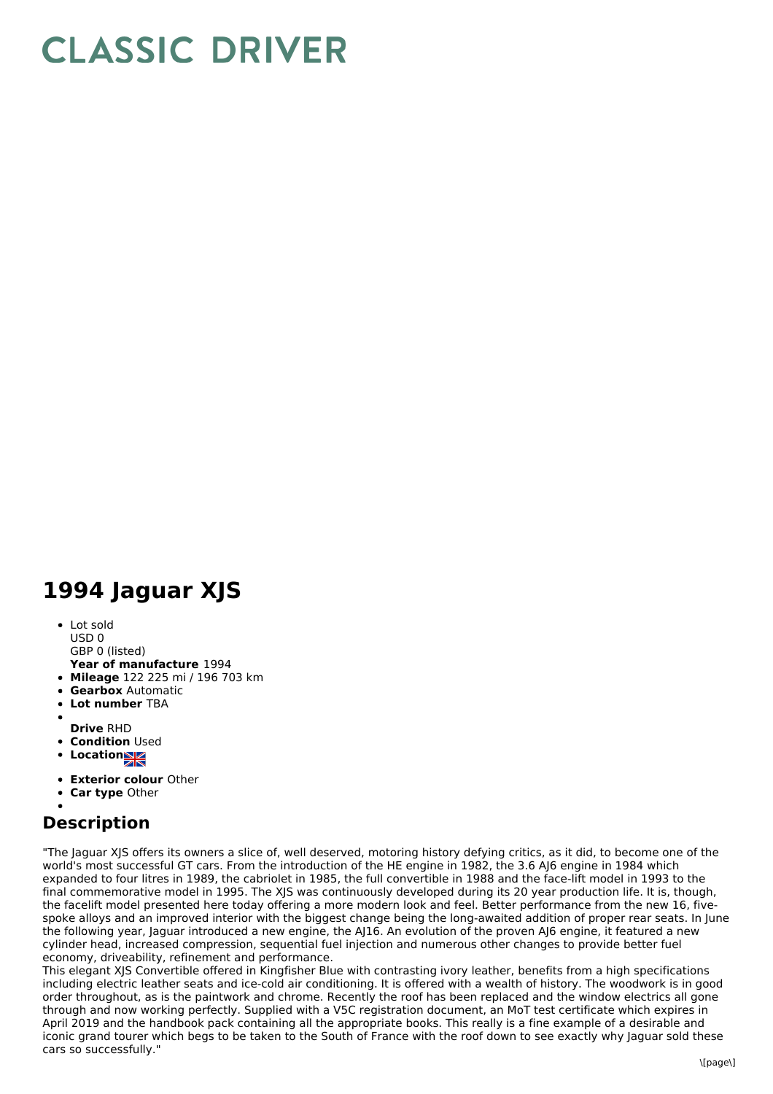## **CLASSIC DRIVER**

## **1994 Jaguar XJS**

• Lot sold USD 0

GBP 0 (listed)

- **Year of manufacture** 1994
- **Mileage** 122 225 mi / 196 703 km
- **Gearbox** Automatic
- **Lot number** TBA
- 
- **Drive** RHD
- **Condition Used**
- **Locations**
- **Exterior colour** Other
- **Car type** Other

## **Description**

"The Jaguar XJS offers its owners a slice of, well deserved, motoring history defying critics, as it did, to become one of the world's most successful GT cars. From the introduction of the HE engine in 1982, the 3.6 AJ6 engine in 1984 which expanded to four litres in 1989, the cabriolet in 1985, the full convertible in 1988 and the face-lift model in 1993 to the final commemorative model in 1995. The XJS was continuously developed during its 20 year production life. It is, though, the facelift model presented here today offering a more modern look and feel. Better performance from the new 16, fivespoke alloys and an improved interior with the biggest change being the long-awaited addition of proper rear seats. In June the following year, Jaguar introduced a new engine, the AJ16. An evolution of the proven AJ6 engine, it featured a new cylinder head, increased compression, sequential fuel injection and numerous other changes to provide better fuel economy, driveability, refinement and performance.

This elegant XJS Convertible offered in Kingfisher Blue with contrasting ivory leather, benefits from a high specifications including electric leather seats and ice-cold air conditioning. It is offered with a wealth of history. The woodwork is in good order throughout, as is the paintwork and chrome. Recently the roof has been replaced and the window electrics all gone through and now working perfectly. Supplied with a V5C registration document, an MoT test certificate which expires in April 2019 and the handbook pack containing all the appropriate books. This really is a fine example of a desirable and iconic grand tourer which begs to be taken to the South of France with the roof down to see exactly why Jaguar sold these cars so successfully."